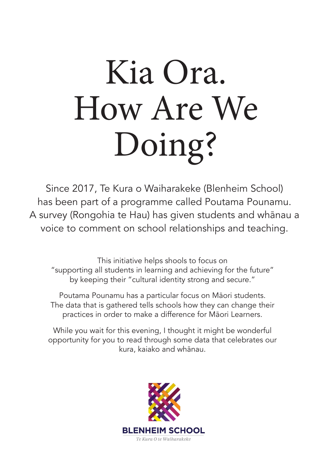# Kia Ora. How Are We Doing?

Since 2017, Te Kura o Waiharakeke (Blenheim School) has been part of a programme called Poutama Pounamu. A survey (Rongohia te Hau) has given students and whānau a voice to comment on school relationships and teaching.

This initiative helps shools to focus on "supporting all students in learning and achieving for the future" by keeping their "cultural identity strong and secure."

Poutama Pounamu has a particular focus on Māori students. The data that is gathered tells schools how they can change their practices in order to make a difference for Māori Learners.

While you wait for this evening, I thought it might be wonderful opportunity for you to read through some data that celebrates our kura, kaiako and whānau.

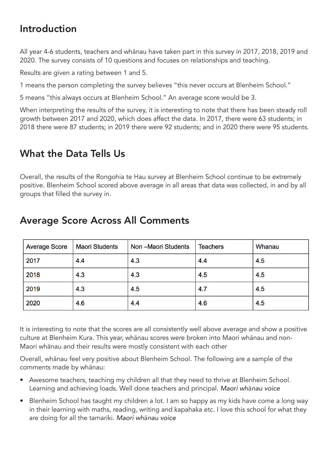# Introduction

All year 4-6 students, teachers and whānau have taken part in this survey in 2017, 2018, 2019 and 2020. The survey consists of 10 questions and focuses on relationships and teaching.

Results are given a rating between 1 and 5.

1 means the person completing the survey believes "this never occurs at Blenheim School."

5 means "this always occurs at Blenheim School." An average score would be 3.

When interpreting the results of the survey, it is interesting to note that there has been steady roll growth between 2017 and 2020, which does affect the data. In 2017, there were 63 students; in 2018 there were 87 students; in 2019 there were 92 students; and in 2020 there were 95 students.

# What the Data Tells Us

Overall, the results of the Rongohia te Hau survey at Blenheim School continue to be extremely positive. Blenheim School scored above average in all areas that data was collected, in and by all groups that filled the survey in.

| <b>Average Score</b> | <b>Maori Students</b> | Non-Maori Students | <b>Teachers</b> | Whanau |
|----------------------|-----------------------|--------------------|-----------------|--------|
| 2017                 | 4.4                   | 4.3                | 4.4             | 4.5    |
| 2018                 | 4.3                   | 4.3                | 4.5             | 4.5    |
| 2019                 | 4.3                   | 4.5                | 4.7             | 4.5    |
| 2020                 | 4.6                   | 4.4                | 4.6             | 4.5    |

## Average Score Across All Comments

It is interesting to note that the scores are all consistently well above average and show a positive culture at Blenheim Kura. This year, whānau scores were broken into Maori whānau and non-Maori whānau and their results were mostly consistent with each other

Overall, whānau feel very positive about Blenheim School. The following are a sample of the comments made by whānau:

- Awesome teachers, teaching my children all that they need to thrive at Blenheim School. Learning and achieving loads. Well done teachers and principal. *Maori wh*ā*nau voice*
- Blenheim School has taught my children a lot. I am so happy as my kids have come a long way in their learning with maths, reading, writing and kapahaka etc. I love this school for what they are doing for all the tamariki. *Maori wh*ā*nau voice*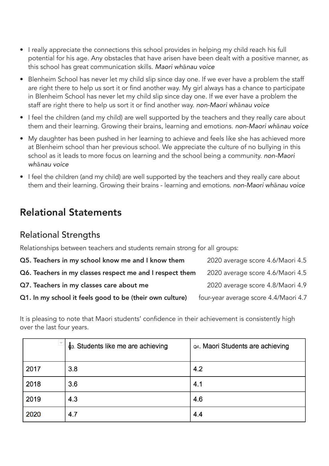- I really appreciate the connections this school provides in helping my child reach his full potential for his age. Any obstacles that have arisen have been dealt with a positive manner, as this school has great communication skills. *Maori wh*ā*nau voice*
- Blenheim School has never let my child slip since day one. If we ever have a problem the staff are right there to help us sort it or find another way. My girl always has a chance to participate in Blenheim School has never let my child slip since day one. If we ever have a problem the staff are right there to help us sort it or find another way. *non-Maori wh*ā*nau voice*
- I feel the children (and my child) are well supported by the teachers and they really care about them and their learning. Growing their brains, learning and emotions. *non-Maori wh*ā*nau voice*
- My daughter has been pushed in her learning to achieve and feels like she has achieved more at Blenheim school than her previous school. We appreciate the culture of no bullying in this school as it leads to more focus on learning and the school being a community. *non-Maori wh*ā*nau voice*
- I feel the children (and my child) are well supported by the teachers and they really care about them and their learning. Growing their brains - learning and emotions. *non-Maori wh*ā*nau voice*

# Relational Statements

### Relational Strengths

Relationships between teachers and students remain strong for all groups:

| Q5. Teachers in my school know me and I know them        | 2020 average score 4.6/Maori 4.5      |
|----------------------------------------------------------|---------------------------------------|
| Q6. Teachers in my classes respect me and I respect them | 2020 average score 4.6/Maori 4.5      |
| Q7. Teachers in my classes care about me                 | 2020 average score 4.8/Maori 4.9      |
| Q1. In my school it feels good to be (their own culture) | four-year average score 4.4/Maori 4.7 |

It is pleasing to note that Maori students' confidence in their achievement is consistently high over the last four years.

| $\overline{\nabla}$ | <b>c</b> <sub>3</sub> . Students like me are achieving | Q4. Maori Students are achieving |
|---------------------|--------------------------------------------------------|----------------------------------|
| 2017                | 3.8                                                    | 4.2                              |
| 2018                | 3.6                                                    | 4.1                              |
| 2019                | 4.3                                                    | 4.6                              |
| 2020                | 4.7                                                    | 4.4                              |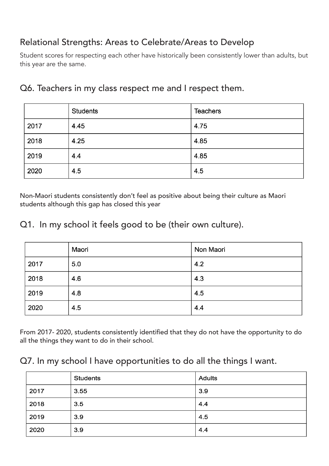## Relational Strengths: Areas to Celebrate/Areas to Develop

Student scores for respecting each other have historically been consistently lower than adults, but this year are the same.

|      | <b>Students</b> | <b>Teachers</b> |
|------|-----------------|-----------------|
| 2017 | 4.45            | 4.75            |
| 2018 | 4.25            | 4.85            |
| 2019 | 4.4             | 4.85            |
| 2020 | 4.5             | 4.5             |

#### Q6. Teachers in my class respect me and I respect them.

Non-Maori students consistently don't feel as positive about being their culture as Maori students although this gap has closed this year

#### Q1. In my school it feels good to be (their own culture).

|      | Maori | Non Maori |
|------|-------|-----------|
| 2017 | 5.0   | 4.2       |
| 2018 | 4.6   | 4.3       |
| 2019 | 4.8   | 4.5       |
| 2020 | 4.5   | 4.4       |

From 2017- 2020, students consistently identified that they do not have the opportunity to do all the things they want to do in their school.

#### Q7. In my school I have opportunities to do all the things I want.

|      | <b>Students</b> | <b>Adults</b> |
|------|-----------------|---------------|
| 2017 | 3.55            | 3.9           |
| 2018 | 3.5             | 4.4           |
| 2019 | 3.9             | 4.5           |
| 2020 | 3.9             | 4.4           |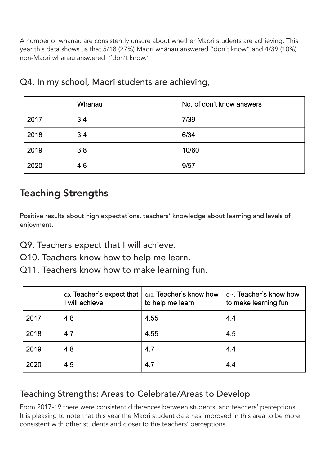A number of whānau are consistently unsure about whether Maori students are achieving. This year this data shows us that 5/18 (27%) Maori whānau answered "don't know" and 4/39 (10%) non-Maori whānau answered "don't know."

|      | Whanau | No. of don't know answers |
|------|--------|---------------------------|
| 2017 | 3.4    | 7/39                      |
| 2018 | 3.4    | 6/34                      |
| 2019 | 3.8    | 10/60                     |
| 2020 | 4.6    | 9/57                      |

Q4. In my school, Maori students are achieving,

# Teaching Strengths

Positive results about high expectations, teachers' knowledge about learning and levels of enjoyment.

Q9. Teachers expect that I will achieve.

Q10. Teachers know how to help me learn.

Q11. Teachers know how to make learning fun.

|      | Q9. Teacher's expect that<br>will achieve | Q10. Teacher's know how<br>to help me learn | Q <sub>11</sub> . Teacher's know how<br>to make learning fun |
|------|-------------------------------------------|---------------------------------------------|--------------------------------------------------------------|
| 2017 | 4.8                                       | 4.55                                        | 4.4                                                          |
| 2018 | 4.7                                       | 4.55                                        | 4.5                                                          |
| 2019 | 4.8                                       | 4.7                                         | 4.4                                                          |
| 2020 | 4.9                                       | 4.7                                         | 4.4                                                          |

## Teaching Strengths: Areas to Celebrate/Areas to Develop

From 2017-19 there were consistent differences between students' and teachers' perceptions. It is pleasing to note that this year the Maori student data has improved in this area to be more consistent with other students and closer to the teachers' perceptions.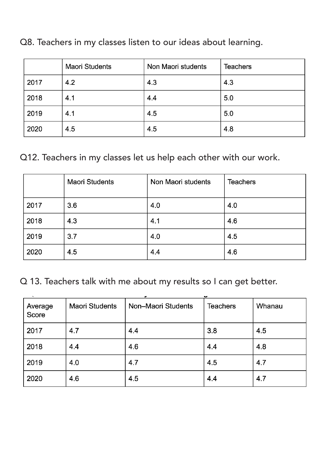|      | <b>Maori Students</b> | Non Maori students | <b>Teachers</b> |
|------|-----------------------|--------------------|-----------------|
| 2017 | 4.2                   | 4.3                | 4.3             |
| 2018 | 4.1                   | 4.4                | 5.0             |
| 2019 | 4.1                   | 4.5                | 5.0             |
| 2020 | 4.5                   | 4.5                | 4.8             |

Q8. Teachers in my classes listen to our ideas about learning.

## Q12. Teachers in my classes let us help each other with our work.

|      | <b>Maori Students</b> | Non Maori students | <b>Teachers</b> |
|------|-----------------------|--------------------|-----------------|
| 2017 | 3.6                   | 4.0                | 4.0             |
| 2018 | 4.3                   | 4.1                | 4.6             |
| 2019 | 3.7                   | 4.0                | 4.5             |
| 2020 | 4.5                   | 4.4                | 4.6             |

Q 13. Teachers talk with me about my results so I can get better.

| Average<br>Score | <b>Maori Students</b> | ٠<br>Non-Maori Students | w<br><b>Teachers</b> | Whanau |
|------------------|-----------------------|-------------------------|----------------------|--------|
| 2017             | 4.7                   | 4.4                     | 3.8                  | 4.5    |
| 2018             | 4.4                   | 4.6                     | 4.4                  | 4.8    |
| 2019             | 4.0                   | 4.7                     | 4.5                  | 4.7    |
| 2020             | 4.6                   | 4.5                     | 4.4                  | 4.7    |